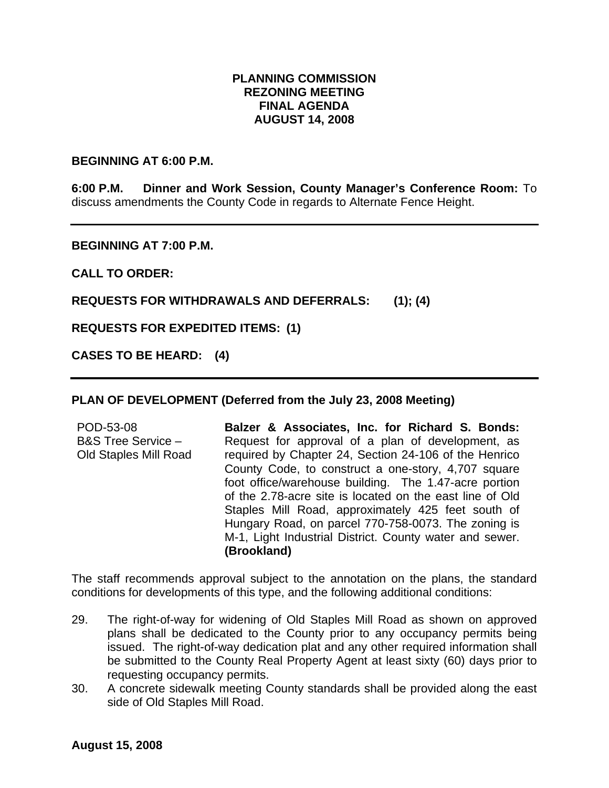### **PLANNING COMMISSION REZONING MEETING FINAL AGENDA AUGUST 14, 2008**

#### **BEGINNING AT 6:00 P.M.**

**6:00 P.M. Dinner and Work Session, County Manager's Conference Room:** To discuss amendments the County Code in regards to Alternate Fence Height.

**BEGINNING AT 7:00 P.M.** 

**CALL TO ORDER:** 

**REQUESTS FOR WITHDRAWALS AND DEFERRALS: (1); (4)** 

**REQUESTS FOR EXPEDITED ITEMS: (1)** 

**CASES TO BE HEARD: (4)** 

#### **PLAN OF DEVELOPMENT (Deferred from the July 23, 2008 Meeting)**

POD-53-08 B&S Tree Service – Old Staples Mill Road **Balzer & Associates, Inc. for Richard S. Bonds:**  Request for approval of a plan of development, as required by Chapter 24, Section 24-106 of the Henrico County Code, to construct a one-story, 4,707 square foot office/warehouse building. The 1.47-acre portion of the 2.78-acre site is located on the east line of Old Staples Mill Road, approximately 425 feet south of Hungary Road, on parcel 770-758-0073. The zoning is M-1, Light Industrial District. County water and sewer. **(Brookland)** 

The staff recommends approval subject to the annotation on the plans, the standard conditions for developments of this type, and the following additional conditions:

- 29. The right-of-way for widening of Old Staples Mill Road as shown on approved plans shall be dedicated to the County prior to any occupancy permits being issued. The right-of-way dedication plat and any other required information shall be submitted to the County Real Property Agent at least sixty (60) days prior to requesting occupancy permits.
- 30. A concrete sidewalk meeting County standards shall be provided along the east side of Old Staples Mill Road.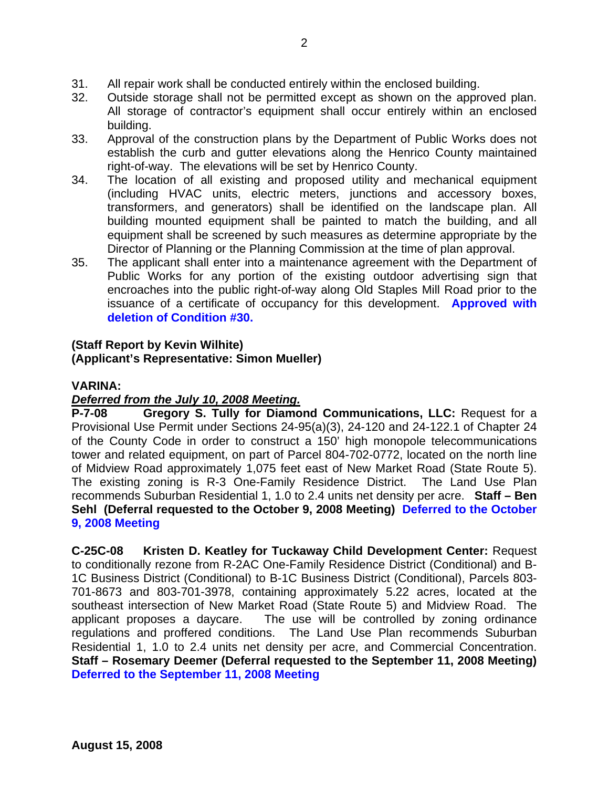- 31. All repair work shall be conducted entirely within the enclosed building.
- 32. Outside storage shall not be permitted except as shown on the approved plan. All storage of contractor's equipment shall occur entirely within an enclosed building.
- 33. Approval of the construction plans by the Department of Public Works does not establish the curb and gutter elevations along the Henrico County maintained right-of-way. The elevations will be set by Henrico County.
- 34. The location of all existing and proposed utility and mechanical equipment (including HVAC units, electric meters, junctions and accessory boxes, transformers, and generators) shall be identified on the landscape plan. All building mounted equipment shall be painted to match the building, and all equipment shall be screened by such measures as determine appropriate by the Director of Planning or the Planning Commission at the time of plan approval.
- 35. The applicant shall enter into a maintenance agreement with the Department of Public Works for any portion of the existing outdoor advertising sign that encroaches into the public right-of-way along Old Staples Mill Road prior to the issuance of a certificate of occupancy for this development. **Approved with deletion of Condition #30.**

# **(Staff Report by Kevin Wilhite)**

**(Applicant's Representative: Simon Mueller)** 

# **VARINA:**

# *Deferred from the July 10, 2008 Meeting.*

**P-7-08 Gregory S. Tully for Diamond Communications, LLC:** Request for a Provisional Use Permit under Sections 24-95(a)(3), 24-120 and 24-122.1 of Chapter 24 of the County Code in order to construct a 150' high monopole telecommunications tower and related equipment, on part of Parcel 804-702-0772, located on the north line of Midview Road approximately 1,075 feet east of New Market Road (State Route 5). The existing zoning is R-3 One-Family Residence District. The Land Use Plan recommends Suburban Residential 1, 1.0 to 2.4 units net density per acre. **Staff – Ben Sehl (Deferral requested to the October 9, 2008 Meeting) Deferred to the October 9, 2008 Meeting** 

**C-25C-08 Kristen D. Keatley for Tuckaway Child Development Center:** Request to conditionally rezone from R-2AC One-Family Residence District (Conditional) and B-1C Business District (Conditional) to B-1C Business District (Conditional), Parcels 803- 701-8673 and 803-701-3978, containing approximately 5.22 acres, located at the southeast intersection of New Market Road (State Route 5) and Midview Road. The applicant proposes a daycare. The use will be controlled by zoning ordinance regulations and proffered conditions. The Land Use Plan recommends Suburban Residential 1, 1.0 to 2.4 units net density per acre, and Commercial Concentration. **Staff – Rosemary Deemer (Deferral requested to the September 11, 2008 Meeting) Deferred to the September 11, 2008 Meeting**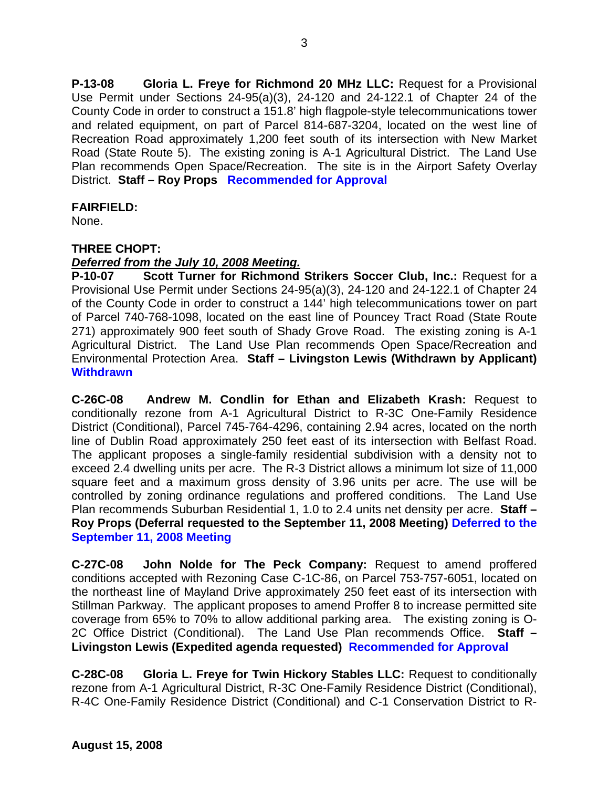**P-13-08 Gloria L. Freye for Richmond 20 MHz LLC:** Request for a Provisional Use Permit under Sections 24-95(a)(3), 24-120 and 24-122.1 of Chapter 24 of the County Code in order to construct a 151.8' high flagpole-style telecommunications tower and related equipment, on part of Parcel 814-687-3204, located on the west line of Recreation Road approximately 1,200 feet south of its intersection with New Market Road (State Route 5). The existing zoning is A-1 Agricultural District. The Land Use Plan recommends Open Space/Recreation. The site is in the Airport Safety Overlay District. **Staff – Roy Props Recommended for Approval** 

## **FAIRFIELD:**

None.

#### **THREE CHOPT:**

#### *Deferred from the July 10, 2008 Meeting.*

**P-10-07 Scott Turner for Richmond Strikers Soccer Club, Inc.:** Request for a Provisional Use Permit under Sections 24-95(a)(3), 24-120 and 24-122.1 of Chapter 24 of the County Code in order to construct a 144' high telecommunications tower on part of Parcel 740-768-1098, located on the east line of Pouncey Tract Road (State Route 271) approximately 900 feet south of Shady Grove Road. The existing zoning is A-1 Agricultural District. The Land Use Plan recommends Open Space/Recreation and Environmental Protection Area. **Staff – Livingston Lewis (Withdrawn by Applicant) Withdrawn**

**C-26C-08 Andrew M. Condlin for Ethan and Elizabeth Krash:** Request to conditionally rezone from A-1 Agricultural District to R-3C One-Family Residence District (Conditional), Parcel 745-764-4296, containing 2.94 acres, located on the north line of Dublin Road approximately 250 feet east of its intersection with Belfast Road. The applicant proposes a single-family residential subdivision with a density not to exceed 2.4 dwelling units per acre. The R-3 District allows a minimum lot size of 11,000 square feet and a maximum gross density of 3.96 units per acre. The use will be controlled by zoning ordinance regulations and proffered conditions. The Land Use Plan recommends Suburban Residential 1, 1.0 to 2.4 units net density per acre. **Staff – Roy Props (Deferral requested to the September 11, 2008 Meeting) Deferred to the September 11, 2008 Meeting**

**C-27C-08 John Nolde for The Peck Company:** Request to amend proffered conditions accepted with Rezoning Case C-1C-86, on Parcel 753-757-6051, located on the northeast line of Mayland Drive approximately 250 feet east of its intersection with Stillman Parkway. The applicant proposes to amend Proffer 8 to increase permitted site coverage from 65% to 70% to allow additional parking area. The existing zoning is O-2C Office District (Conditional). The Land Use Plan recommends Office. **Staff – Livingston Lewis (Expedited agenda requested) Recommended for Approval** 

**C-28C-08 Gloria L. Freye for Twin Hickory Stables LLC:** Request to conditionally rezone from A-1 Agricultural District, R-3C One-Family Residence District (Conditional), R-4C One-Family Residence District (Conditional) and C-1 Conservation District to R-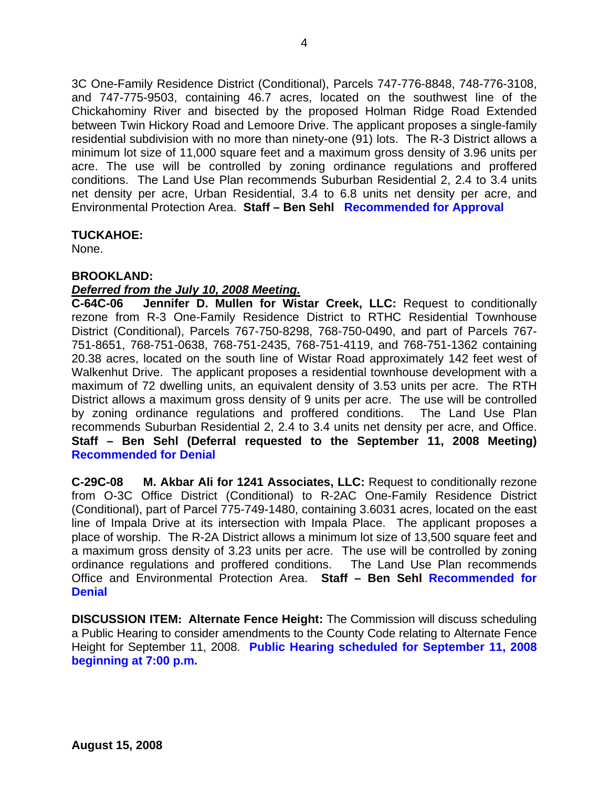3C One-Family Residence District (Conditional), Parcels 747-776-8848, 748-776-3108, and 747-775-9503, containing 46.7 acres, located on the southwest line of the Chickahominy River and bisected by the proposed Holman Ridge Road Extended between Twin Hickory Road and Lemoore Drive. The applicant proposes a single-family residential subdivision with no more than ninety-one (91) lots. The R-3 District allows a minimum lot size of 11,000 square feet and a maximum gross density of 3.96 units per acre. The use will be controlled by zoning ordinance regulations and proffered conditions. The Land Use Plan recommends Suburban Residential 2, 2.4 to 3.4 units net density per acre, Urban Residential, 3.4 to 6.8 units net density per acre, and Environmental Protection Area. **Staff – Ben Sehl Recommended for Approval** 

## **TUCKAHOE:**

None.

## **BROOKLAND:**

#### *Deferred from the July 10, 2008 Meeting.*

**C-64C-06 Jennifer D. Mullen for Wistar Creek, LLC:** Request to conditionally rezone from R-3 One-Family Residence District to RTHC Residential Townhouse District (Conditional), Parcels 767-750-8298, 768-750-0490, and part of Parcels 767- 751-8651, 768-751-0638, 768-751-2435, 768-751-4119, and 768-751-1362 containing 20.38 acres, located on the south line of Wistar Road approximately 142 feet west of Walkenhut Drive. The applicant proposes a residential townhouse development with a maximum of 72 dwelling units, an equivalent density of 3.53 units per acre. The RTH District allows a maximum gross density of 9 units per acre. The use will be controlled by zoning ordinance regulations and proffered conditions. The Land Use Plan recommends Suburban Residential 2, 2.4 to 3.4 units net density per acre, and Office. **Staff – Ben Sehl (Deferral requested to the September 11, 2008 Meeting) Recommended for Denial** 

**C-29C-08 M. Akbar Ali for 1241 Associates, LLC:** Request to conditionally rezone from O-3C Office District (Conditional) to R-2AC One-Family Residence District (Conditional), part of Parcel 775-749-1480, containing 3.6031 acres, located on the east line of Impala Drive at its intersection with Impala Place. The applicant proposes a place of worship. The R-2A District allows a minimum lot size of 13,500 square feet and a maximum gross density of 3.23 units per acre. The use will be controlled by zoning ordinance regulations and proffered conditions. The Land Use Plan recommends Office and Environmental Protection Area. **Staff – Ben Sehl Recommended for Denial** 

**DISCUSSION ITEM: Alternate Fence Height:** The Commission will discuss scheduling a Public Hearing to consider amendments to the County Code relating to Alternate Fence Height for September 11, 2008. **Public Hearing scheduled for September 11, 2008 beginning at 7:00 p.m.**